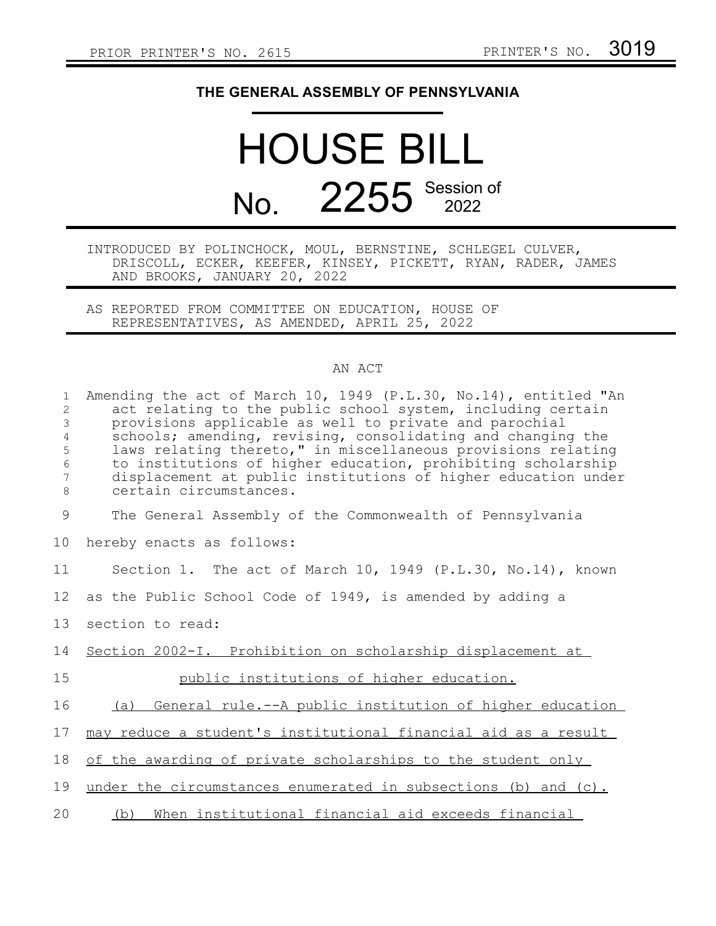## **THE GENERAL ASSEMBLY OF PENNSYLVANIA**

## HOUSE BILL No. 2255 Session of

## INTRODUCED BY POLINCHOCK, MOUL, BERNSTINE, SCHLEGEL CULVER, DRISCOLL, ECKER, KEEFER, KINSEY, PICKETT, RYAN, RADER, JAMES AND BROOKS, JANUARY 20, 2022

AS REPORTED FROM COMMITTEE ON EDUCATION, HOUSE OF REPRESENTATIVES, AS AMENDED, APRIL 25, 2022

## AN ACT

| $\mathbf{1}$<br>2<br>3<br>$\overline{4}$<br>5<br>$\sqrt{6}$<br>7<br>8 | Amending the act of March 10, 1949 (P.L.30, No.14), entitled "An<br>act relating to the public school system, including certain<br>provisions applicable as well to private and parochial<br>schools; amending, revising, consolidating and changing the<br>laws relating thereto," in miscellaneous provisions relating<br>to institutions of higher education, prohibiting scholarship<br>displacement at public institutions of higher education under<br>certain circumstances. |
|-----------------------------------------------------------------------|-------------------------------------------------------------------------------------------------------------------------------------------------------------------------------------------------------------------------------------------------------------------------------------------------------------------------------------------------------------------------------------------------------------------------------------------------------------------------------------|
| $\mathcal{G}$                                                         | The General Assembly of the Commonwealth of Pennsylvania                                                                                                                                                                                                                                                                                                                                                                                                                            |
| 10                                                                    | hereby enacts as follows:                                                                                                                                                                                                                                                                                                                                                                                                                                                           |
| 11                                                                    | Section 1. The act of March 10, 1949 (P.L.30, No.14), known                                                                                                                                                                                                                                                                                                                                                                                                                         |
| 12                                                                    | as the Public School Code of 1949, is amended by adding a                                                                                                                                                                                                                                                                                                                                                                                                                           |
| 13                                                                    | section to read:                                                                                                                                                                                                                                                                                                                                                                                                                                                                    |
| 14                                                                    | Section 2002-I. Prohibition on scholarship displacement at                                                                                                                                                                                                                                                                                                                                                                                                                          |
| 15                                                                    | public institutions of higher education.                                                                                                                                                                                                                                                                                                                                                                                                                                            |
| 16                                                                    | (a) General rule.--A public institution of higher education                                                                                                                                                                                                                                                                                                                                                                                                                         |
| 17                                                                    | may reduce a student's institutional financial aid as a result                                                                                                                                                                                                                                                                                                                                                                                                                      |
| 18                                                                    | of the awarding of private scholarships to the student only                                                                                                                                                                                                                                                                                                                                                                                                                         |
| 19                                                                    | under the circumstances enumerated in subsections (b) and (c).                                                                                                                                                                                                                                                                                                                                                                                                                      |
| 20                                                                    | (b) When institutional financial aid exceeds financial                                                                                                                                                                                                                                                                                                                                                                                                                              |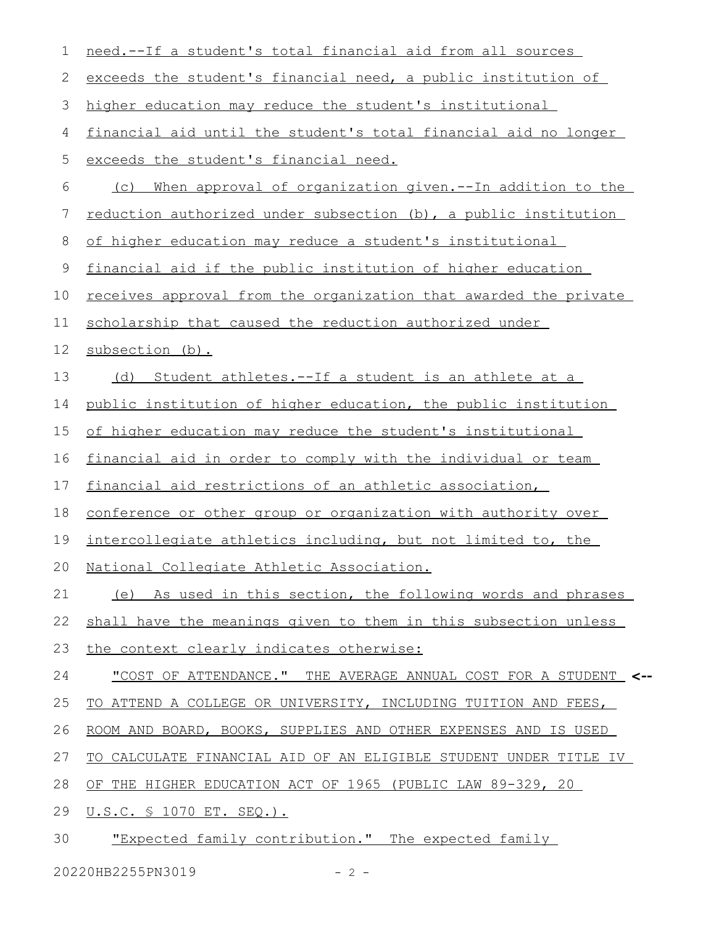| 1  | need.--If a student's total financial aid from all sources       |
|----|------------------------------------------------------------------|
| 2  | exceeds the student's financial need, a public institution of    |
| 3  | higher education may reduce the student's institutional          |
| 4  | financial aid until the student's total financial aid no longer  |
| 5  | exceeds the student's financial need.                            |
| 6  | When approval of organization given.--In addition to the<br>(C)  |
| 7  | reduction authorized under subsection (b), a public institution  |
| 8  | of higher education may reduce a student's institutional         |
| 9  | financial aid if the public institution of higher education      |
| 10 | receives approval from the organization that awarded the private |
| 11 | scholarship that caused the reduction authorized under           |
| 12 | subsection (b).                                                  |
| 13 | (d) Student athletes.--If a student is an athlete at a           |
| 14 | public institution of higher education, the public institution   |
| 15 | of higher education may reduce the student's institutional       |
| 16 | financial aid in order to comply with the individual or team     |
| 17 | financial aid restrictions of an athletic association,           |
| 18 | conference or other group or organization with authority over    |
| 19 | intercollegiate athletics including, but not limited to, the     |
|    | 20 National Collegiate Athletic Association.                     |
| 21 | (e) As used in this section, the following words and phrases     |
| 22 | shall have the meanings given to them in this subsection unless  |
| 23 | the context clearly indicates otherwise:                         |
| 24 | "COST OF ATTENDANCE." THE AVERAGE ANNUAL COST FOR A STUDENT <--  |
| 25 | TO ATTEND A COLLEGE OR UNIVERSITY, INCLUDING TUITION AND FEES,   |
| 26 | ROOM AND BOARD, BOOKS, SUPPLIES AND OTHER EXPENSES AND IS USED   |
| 27 | TO CALCULATE FINANCIAL AID OF AN ELIGIBLE STUDENT UNDER TITLE IV |
| 28 | OF THE HIGHER EDUCATION ACT OF 1965 (PUBLIC LAW 89-329, 20       |
| 29 | <u>U.S.C. § 1070 ET. SEQ.).</u>                                  |
| 30 | "Expected family contribution." The expected family              |
|    |                                                                  |

20220HB2255PN3019 - 2 -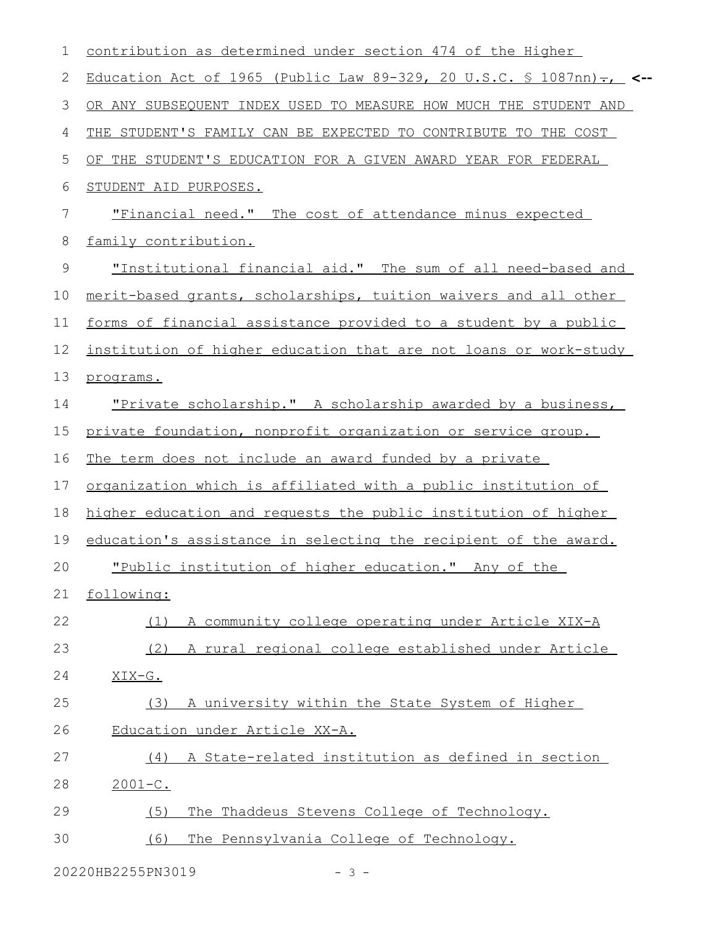| 1             | contribution as determined under section 474 of the Higher                          |
|---------------|-------------------------------------------------------------------------------------|
| 2             | Education Act of 1965 (Public Law 89-329, 20 U.S.C. § 1087nn) $\tau_{\text{L}}$ <-- |
| 3             | OR ANY SUBSEQUENT INDEX USED TO MEASURE HOW MUCH THE STUDENT AND                    |
| 4             | THE STUDENT'S FAMILY CAN BE EXPECTED TO CONTRIBUTE TO THE COST                      |
| 5             | OF THE STUDENT'S EDUCATION FOR A GIVEN AWARD YEAR FOR FEDERAL                       |
| 6             | STUDENT AID PURPOSES.                                                               |
| 7             | "Financial need." The cost of attendance minus expected                             |
| 8             | family contribution.                                                                |
| $\mathcal{G}$ | "Institutional financial aid." The sum of all need-based and                        |
| 10            | merit-based grants, scholarships, tuition waivers and all other                     |
| 11            | forms of financial assistance provided to a student by a public                     |
| 12            | institution of higher education that are not loans or work-study                    |
| 13            | programs.                                                                           |
| 14            | "Private scholarship." A scholarship awarded by a business,                         |
| 15            | private foundation, nonprofit organization or service group.                        |
| 16            | The term does not include an award funded by a private                              |
| 17            | organization which is affiliated with a public institution of                       |
| 18            | higher education and requests the public institution of higher                      |
| 19            | education's assistance in selecting the recipient of the award.                     |
| 20            | "Public institution of higher education." Any of the                                |
| 21            | following:                                                                          |
| 22            | A community college operating under Article XIX-A<br>(1)                            |
| 23            | A rural regional college established under Article<br>(2)                           |
| 24            | XIX-G.                                                                              |
| 25            | (3)<br>A university within the State System of Higher                               |
| 26            | Education under Article XX-A.                                                       |
| 27            | A State-related institution as defined in section<br>(4)                            |
| 28            | $2001 - C$ .                                                                        |
| 29            | The Thaddeus Stevens College of Technology.<br>(5)                                  |
| 30            | The Pennsylvania College of Technology.<br>(6)                                      |
|               |                                                                                     |